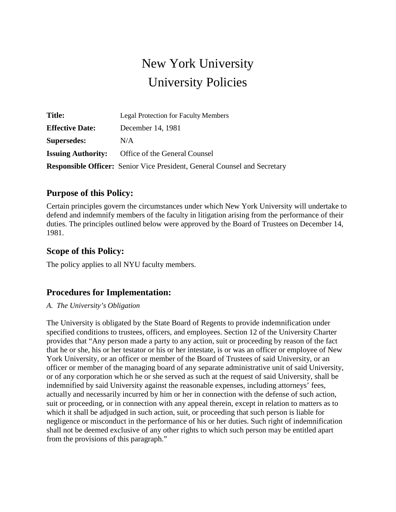# New York University University Policies

| <b>Title:</b>             | <b>Legal Protection for Faculty Members</b>                                      |
|---------------------------|----------------------------------------------------------------------------------|
| <b>Effective Date:</b>    | December 14, 1981                                                                |
| <b>Supersedes:</b>        | N/A                                                                              |
| <b>Issuing Authority:</b> | Office of the General Counsel                                                    |
|                           | <b>Responsible Officer:</b> Senior Vice President, General Counsel and Secretary |

## **Purpose of this Policy:**

Certain principles govern the circumstances under which New York University will undertake to defend and indemnify members of the faculty in litigation arising from the performance of their duties. The principles outlined below were approved by the Board of Trustees on December 14, 1981.

## **Scope of this Policy:**

The policy applies to all NYU faculty members.

## **Procedures for Implementation:**

#### *A. The University's Obligation*

The University is obligated by the State Board of Regents to provide indemnification under specified conditions to trustees, officers, and employees. Section 12 of the University Charter provides that "Any person made a party to any action, suit or proceeding by reason of the fact that he or she, his or her testator or his or her intestate, is or was an officer or employee of New York University, or an officer or member of the Board of Trustees of said University, or an officer or member of the managing board of any separate administrative unit of said University, or of any corporation which he or she served as such at the request of said University, shall be indemnified by said University against the reasonable expenses, including attorneys' fees, actually and necessarily incurred by him or her in connection with the defense of such action, suit or proceeding, or in connection with any appeal therein, except in relation to matters as to which it shall be adjudged in such action, suit, or proceeding that such person is liable for negligence or misconduct in the performance of his or her duties. Such right of indemnification shall not be deemed exclusive of any other rights to which such person may be entitled apart from the provisions of this paragraph."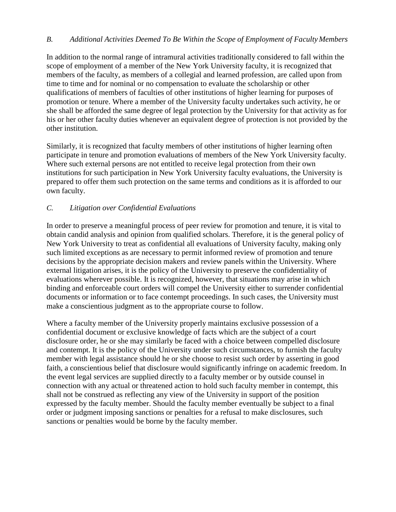#### *B. Additional Activities Deemed To Be Within the Scope of Employment of Faculty Members*

In addition to the normal range of intramural activities traditionally considered to fall within the scope of employment of a member of the New York University faculty, it is recognized that members of the faculty, as members of a collegial and learned profession, are called upon from time to time and for nominal or no compensation to evaluate the scholarship or other qualifications of members of faculties of other institutions of higher learning for purposes of promotion or tenure. Where a member of the University faculty undertakes such activity, he or she shall be afforded the same degree of legal protection by the University for that activity as for his or her other faculty duties whenever an equivalent degree of protection is not provided by the other institution.

Similarly, it is recognized that faculty members of other institutions of higher learning often participate in tenure and promotion evaluations of members of the New York University faculty. Where such external persons are not entitled to receive legal protection from their own institutions for such participation in New York University faculty evaluations, the University is prepared to offer them such protection on the same terms and conditions as it is afforded to our own faculty.

#### *C. Litigation over Confidential Evaluations*

In order to preserve a meaningful process of peer review for promotion and tenure, it is vital to obtain candid analysis and opinion from qualified scholars. Therefore, it is the general policy of New York University to treat as confidential all evaluations of University faculty, making only such limited exceptions as are necessary to permit informed review of promotion and tenure decisions by the appropriate decision makers and review panels within the University. Where external litigation arises, it is the policy of the University to preserve the confidentiality of evaluations wherever possible. It is recognized, however, that situations may arise in which binding and enforceable court orders will compel the University either to surrender confidential documents or information or to face contempt proceedings. In such cases, the University must make a conscientious judgment as to the appropriate course to follow.

Where a faculty member of the University properly maintains exclusive possession of a confidential document or exclusive knowledge of facts which are the subject of a court disclosure order, he or she may similarly be faced with a choice between compelled disclosure and contempt. It is the policy of the University under such circumstances, to furnish the faculty member with legal assistance should he or she choose to resist such order by asserting in good faith, a conscientious belief that disclosure would significantly infringe on academic freedom. In the event legal services are supplied directly to a faculty member or by outside counsel in connection with any actual or threatened action to hold such faculty member in contempt, this shall not be construed as reflecting any view of the University in support of the position expressed by the faculty member. Should the faculty member eventually be subject to a final order or judgment imposing sanctions or penalties for a refusal to make disclosures, such sanctions or penalties would be borne by the faculty member.